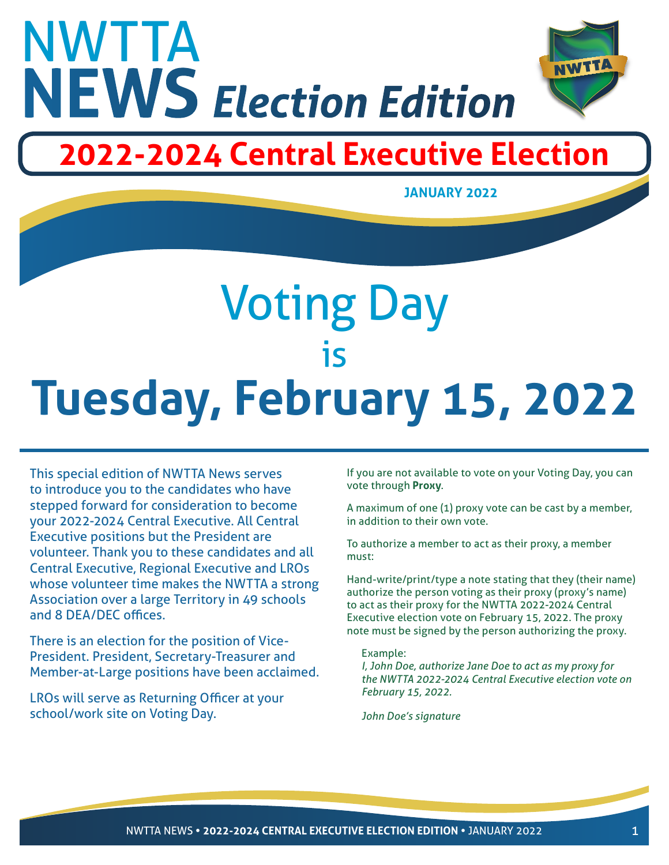

## **2022-2024 Central Executive Election**



# Voting Day is **Tuesday, February 15, 2022**

This special edition of NWTTA News serves to introduce you to the candidates who have stepped forward for consideration to become your 2022-2024 Central Executive. All Central Executive positions but the President are volunteer. Thank you to these candidates and all Central Executive, Regional Executive and LROs whose volunteer time makes the NWTTA a strong Association over a large Territory in 49 schools and 8 DEA/DEC offices.

There is an election for the position of Vice-President. President, Secretary-Treasurer and Member-at-Large positions have been acclaimed.

LROs will serve as Returning Officer at your school/work site on Voting Day.

If you are not available to vote on your Voting Day, you can vote through **Proxy**.

A maximum of one (1) proxy vote can be cast by a member, in addition to their own vote.

To authorize a member to act as their proxy, a member must:

Hand-write/print/type a note stating that they (their name) authorize the person voting as their proxy (proxy's name) to act as their proxy for the NWTTA 2022-2024 Central Executive election vote on February 15, 2022. The proxy note must be signed by the person authorizing the proxy.

#### Example:

*I, John Doe, authorize Jane Doe to act as my proxy for the NWTTA 2022-2024 Central Executive election vote on February 15, 2022.*

*John Doe's signature*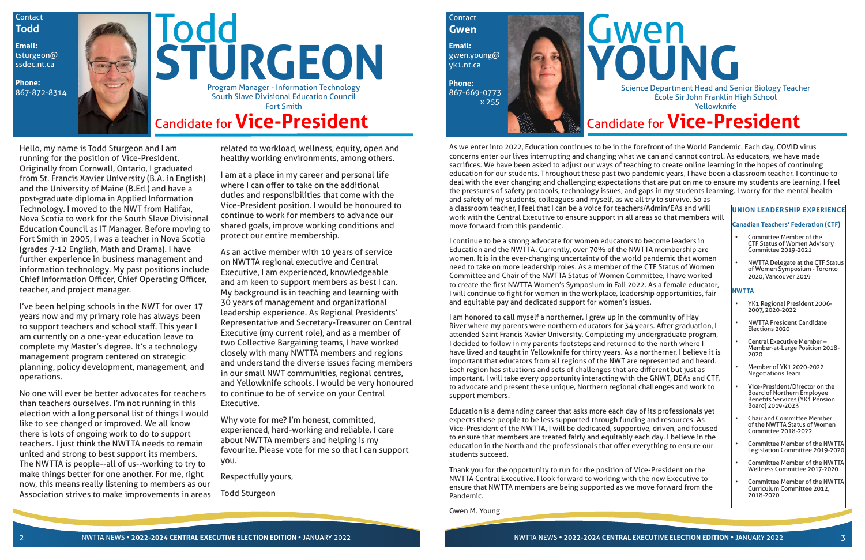I continue to be a strong advocate for women educators to become leaders in Education and the NWTTA. Currently, over 70% of the NWTTA membership are women. It is in the ever-changing uncertainty of the world pandemic that women need to take on more leadership roles. As a member of the CTF Status of Women Committee and Chair of the NWTTA Status of Women Committee, I have worked to create the first NWTTA Women's Symposium in Fall 2022. As a female educator, I will continue to fight for women in the workplace, leadership opportunities, fair and equitable pay and dedicated support for women's issues.

I am honored to call myself a northerner. I grew up in the community of Hay River where my parents were northern educators for 34 years. After graduation, I attended Saint Francis Xavier University. Completing my undergraduate program, I decided to follow in my parents footsteps and returned to the north where I have lived and taught in Yellowknife for thirty years. As a northerner, I believe it is important that educators from all regions of the NWT are represented and heard. Each region has situations and sets of challenges that are different but just as important. I will take every opportunity interacting with the GNWT, DEAs and CTF, to advocate and present these unique, Northern regional challenges and work to support members.

Education is a demanding career that asks more each day of its professionals yet expects these people to be less supported through funding and resources. As Vice-President of the NWTTA, I will be dedicated, supportive, driven, and focused to ensure that members are treated fairly and equitably each day. I believe in the education in the North and the professionals that offer everything to ensure our students succeed.

Thank you for the opportunity to run for the position of Vice-President on the NWTTA Central Executive. I look forward to working with the new Executive to ensure that NWTTA members are being supported as we move forward from the Pandemic.

**Contact Todd**

Gwen M. Young

Contact

**Todd STURGEON** Candidate for **Vice-President** Program Manager - Information Technology<br>867-872-8314 Program Manager - Information Technology South Slave Divisional Education Council Fort Smith

> As we enter into 2022, Education continues to be in the forefront of the World Pandemic. Each day, COVID virus concerns enter our lives interrupting and changing what we can and cannot control. As educators, we have made sacrifices. We have been asked to adjust our ways of teaching to create online learning in the hopes of continuing education for our students. Throughout these past two pandemic years, I have been a classroom teacher. I continue to deal with the ever changing and challenging expectations that are put on me to ensure my students are learning. I feel the pressures of safety protocols, technology issues, and gaps in my students learning. I worry for the mental health and safety of my students, colleagues and myself, as we all try to survive. So as a classroom teacher, I feel that I can be a voice for teachers/Admin/EAs and will work with the Central Executive to ensure support in all areas so that members will move forward from this pandemic. **UNION LEADERSHIP EXPERIENCE Canadian Teachers' Federation (CTF)**

Hello, my name is Todd Sturgeon and I am running for the position of Vice-President. Originally from Cornwall, Ontario, I graduated from St. Francis Xavier University (B.A. in English) and the University of Maine (B.Ed.) and have a post-graduate diploma in Applied Information Technology. I moved to the NWT from Halifax, Nova Scotia to work for the South Slave Divisional Education Council as IT Manager. Before moving to Fort Smith in 2005, I was a teacher in Nova Scotia (grades 7-12 English, Math and Drama). I have further experience in business management and information technology. My past positions include Chief Information Officer, Chief Operating Officer, teacher, and project manager.

I've been helping schools in the NWT for over 17 years now and my primary role has always been to support teachers and school staff. This year I am currently on a one-year education leave to complete my Master's degree. It's a technology management program centered on strategic planning, policy development, management, and operations.

No one will ever be better advocates for teachers than teachers ourselves. I'm not running in this election with a long personal list of things I would like to see changed or improved. We all know there is lots of ongoing work to do to support teachers. I just think the NWTTA needs to remain united and strong to best support its members. The NWTTA is people--all of us--working to try to make things better for one another. For me, right now, this means really listening to members as our Association strives to make improvements in areas related to workload, wellness, equity, open and healthy working environments, among others.

I am at a place in my career and personal life where I can offer to take on the additional duties and responsibilities that come with the Vice-President position. I would be honoured to continue to work for members to advance our shared goals, improve working conditions and protect our entire membership.

As an active member with 10 years of service on NWTTA regional executive and Central Executive, I am experienced, knowledgeable and am keen to support members as best I can. My background is in teaching and learning with 30 years of management and organizational leadership experience. As Regional Presidents' Representative and Secretary-Treasurer on Central Executive (my current role), and as a member of two Collective Bargaining teams, I have worked closely with many NWTTA members and regions and understand the diverse issues facing members in our small NWT communities, regional centres, and Yellowknife schools. I would be very honoured to continue to be of service on your Central Executive.

Why vote for me? I'm honest, committed, experienced, hard-working and reliable. I care about NWTTA members and helping is my favourite. Please vote for me so that I can support you.

Respectfully yours,

Todd Sturgeon

**Email:**  tsturgeon@ ssdec.nt.ca

**Phone:** 

## Candidate for **Vice-President**





- Committee Member of the CTF Status of Women Advisory Committee 2019-2021
- NWTTA Delegate at the CTF Status of Women Symposium - Toronto 2020, Vancouver 2019

#### **NWTTA**

- YK1 Regional President 2006- 2007, 2020-2022
- NWTTA President Candidate Elections 2020
- Central Executive Member Member-at-Large Position 2018- 2020
- Member of YK1 2020-2022 Negotiations Team
- Vice-President/Director on the Board of Northern Employee Benefits Services (YK1 Pension Board) 2019-2023
- Chair and Committee Member of the NWTTA Status of Women Committee 2018-2022
- Committee Member of the NWTTA Legislation Committee 2019-2020
- Committee Member of the NWTTA Wellness Committee 2017-2020
- Committee Member of the NWTTA Curriculum Committee 2012, 2018-2020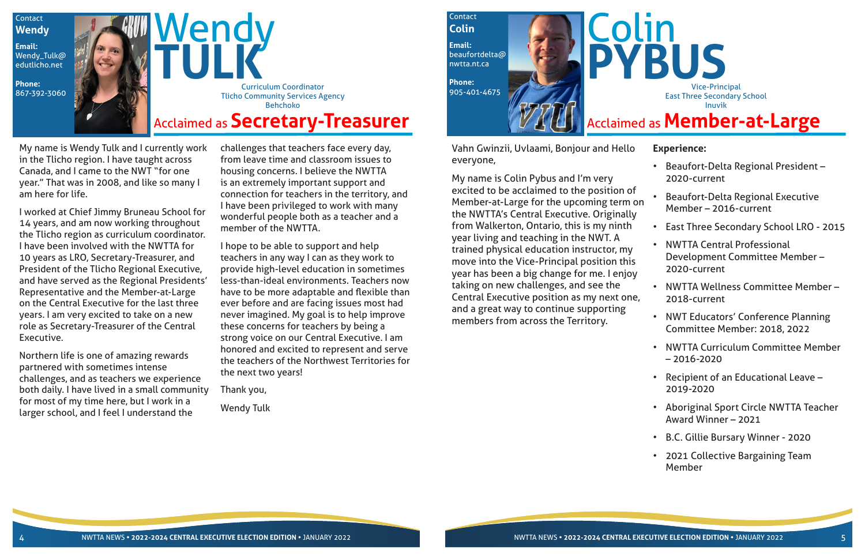My name is Wendy Tulk and I currently work in the Tlicho region. I have taught across Canada, and I came to the NWT "for one year." That was in 2008, and like so many I am here for life.

I worked at Chief Jimmy Bruneau School for 14 years, and am now working throughout the Tlicho region as curriculum coordinator. I have been involved with the NWTTA for 10 years as LRO, Secretary-Treasurer, and President of the Tlicho Regional Executive, and have served as the Regional Presidents' Representative and the Member-at-Large on the Central Executive for the last three years. I am very excited to take on a new role as Secretary-Treasurer of the Central Executive.

Northern life is one of amazing rewards partnered with sometimes intense challenges, and as teachers we experience both daily. I have lived in a small community for most of my time here, but I work in a larger school, and I feel I understand the



challenges that teachers face every day, from leave time and classroom issues to housing concerns. I believe the NWTTA is an extremely important support and connection for teachers in the territory, and I have been privileged to work with many wonderful people both as a teacher and a member of the NWTTA.

I hope to be able to support and help teachers in any way I can as they work to provide high-level education in sometimes less-than-ideal environments. Teachers now have to be more adaptable and flexible than ever before and are facing issues most had never imagined. My goal is to help improve these concerns for teachers by being a strong voice on our Central Executive. I am honored and excited to represent and serve the teachers of the Northwest Territories for the next two years!

Thank you,

Wendy Tulk

Vahn Gwinzii, Uvlaami, Bonjour and Hello everyone,

My name is Colin Pybus and I'm very excited to be acclaimed to the position of Member-at-Large for the upcoming term on the NWTTA's Central Executive. Originally from Walkerton, Ontario, this is my ninth year living and teaching in the NWT. A trained physical education instructor, my move into the Vice-Principal position this year has been a big change for me. I enjoy taking on new challenges, and see the Central Executive position as my next one, and a great way to continue supporting members from across the Territory.

## **Experience:**



- Beaufort-Delta Regional President 2020-current
- Beaufort-Delta Regional Executive Member – 2016-current
	- East Three Secondary School LRO 2015
	- NWTTA Central Professional Development Committee Member – 2020-current
- NWTTA Wellness Committee Member 2018-current
- NWT Educators' Conference Planning Committee Member: 2018, 2022
- NWTTA Curriculum Committee Member – 2016-2020
- Recipient of an Educational Leave 2019-2020
- Aboriginal Sport Circle NWTTA Teacher Award Winner – 2021
- B.C. Gillie Bursary Winner 2020
- 2021 Collective Bargaining Team Member